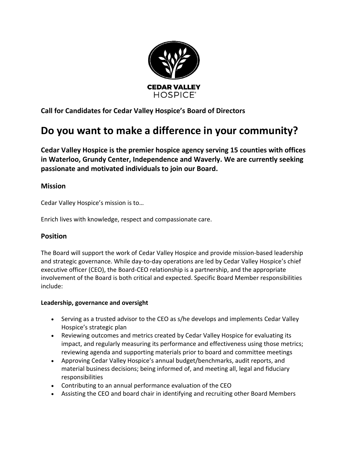

**Call for Candidates for Cedar Valley Hospice's Board of Directors**

# **Do you want to make a difference in your community?**

**Cedar Valley Hospice is the premier hospice agency serving 15 counties with offices in Waterloo, Grundy Center, Independence and Waverly. We are currently seeking passionate and motivated individuals to join our Board.**

## **Mission**

Cedar Valley Hospice's mission is to…

Enrich lives with knowledge, respect and compassionate care.

### **Position**

The Board will support the work of Cedar Valley Hospice and provide mission-based leadership and strategic governance. While day-to-day operations are led by Cedar Valley Hospice's chief executive officer (CEO), the Board-CEO relationship is a partnership, and the appropriate involvement of the Board is both critical and expected. Specific Board Member responsibilities include:

### **Leadership, governance and oversight**

- Serving as a trusted advisor to the CEO as s/he develops and implements Cedar Valley Hospice's strategic plan
- Reviewing outcomes and metrics created by Cedar Valley Hospice for evaluating its impact, and regularly measuring its performance and effectiveness using those metrics; reviewing agenda and supporting materials prior to board and committee meetings
- Approving Cedar Valley Hospice's annual budget/benchmarks, audit reports, and material business decisions; being informed of, and meeting all, legal and fiduciary responsibilities
- Contributing to an annual performance evaluation of the CEO
- Assisting the CEO and board chair in identifying and recruiting other Board Members